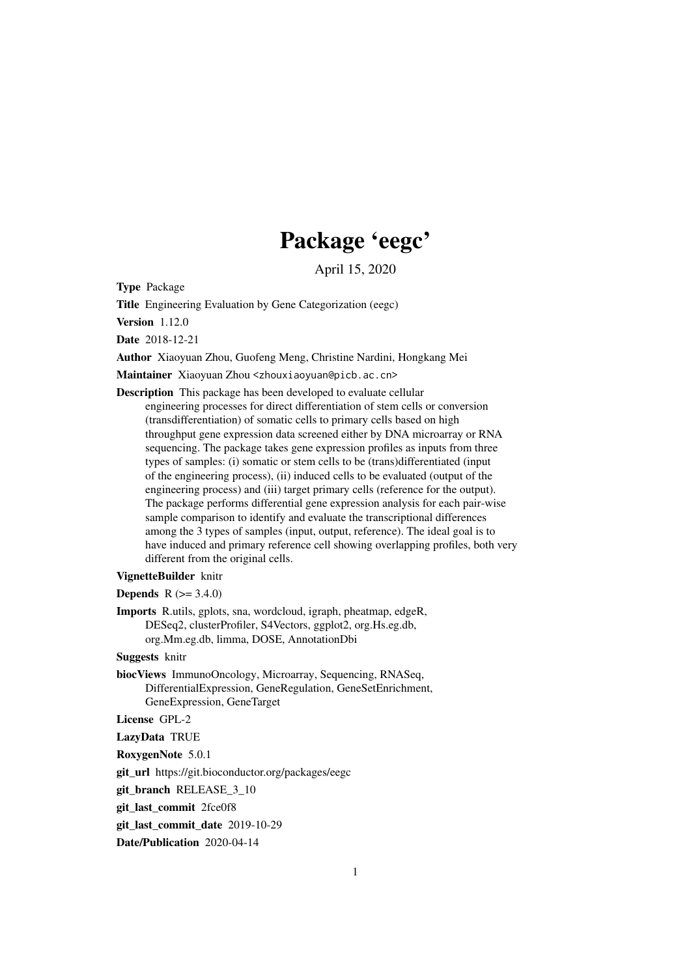## Package 'eegc'

April 15, 2020

<span id="page-0-0"></span>Type Package

Title Engineering Evaluation by Gene Categorization (eegc)

Version 1.12.0

Date 2018-12-21

Author Xiaoyuan Zhou, Guofeng Meng, Christine Nardini, Hongkang Mei

Maintainer Xiaoyuan Zhou <zhouxiaoyuan@picb.ac.cn>

Description This package has been developed to evaluate cellular engineering processes for direct differentiation of stem cells or conversion (transdifferentiation) of somatic cells to primary cells based on high throughput gene expression data screened either by DNA microarray or RNA sequencing. The package takes gene expression profiles as inputs from three types of samples: (i) somatic or stem cells to be (trans)differentiated (input of the engineering process), (ii) induced cells to be evaluated (output of the engineering process) and (iii) target primary cells (reference for the output). The package performs differential gene expression analysis for each pair-wise sample comparison to identify and evaluate the transcriptional differences among the 3 types of samples (input, output, reference). The ideal goal is to have induced and primary reference cell showing overlapping profiles, both very different from the original cells.

#### VignetteBuilder knitr

**Depends**  $R (= 3.4.0)$ 

Imports R.utils, gplots, sna, wordcloud, igraph, pheatmap, edgeR, DESeq2, clusterProfiler, S4Vectors, ggplot2, org.Hs.eg.db, org.Mm.eg.db, limma, DOSE, AnnotationDbi

Suggests knitr

biocViews ImmunoOncology, Microarray, Sequencing, RNASeq, DifferentialExpression, GeneRegulation, GeneSetEnrichment, GeneExpression, GeneTarget

License GPL-2

LazyData TRUE

RoxygenNote 5.0.1

git\_url https://git.bioconductor.org/packages/eegc

git\_branch RELEASE\_3\_10

git\_last\_commit 2fce0f8

git last commit date 2019-10-29

Date/Publication 2020-04-14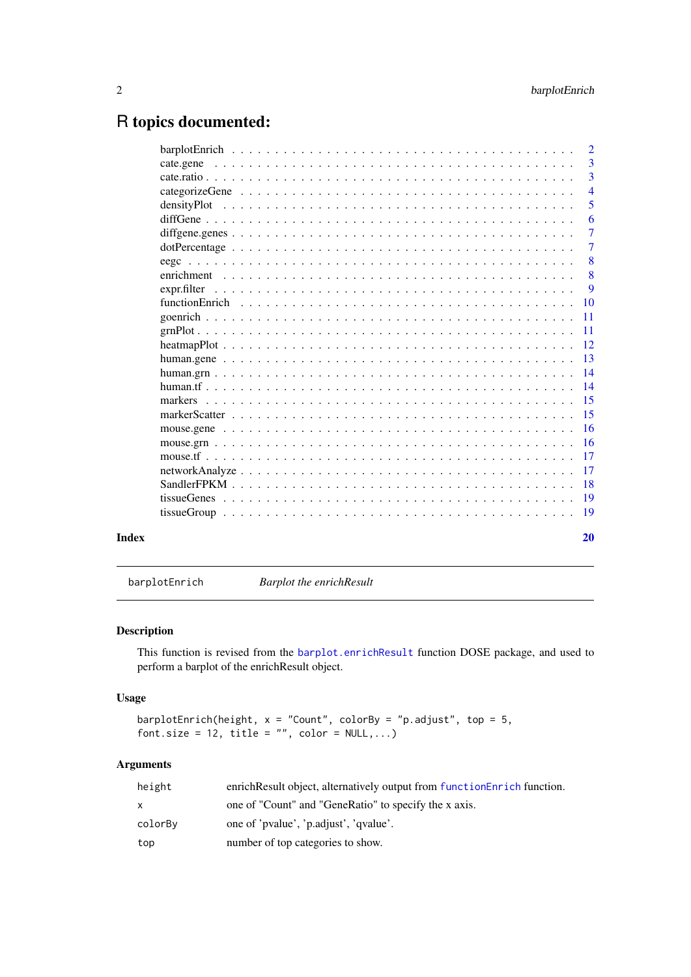## <span id="page-1-0"></span>R topics documented:

|       |             | $\overline{2}$  |
|-------|-------------|-----------------|
|       | cate.gene   | $\overline{3}$  |
|       |             | 3               |
|       |             | $\overline{4}$  |
|       |             | 5               |
|       |             | 6               |
|       |             | $\overline{7}$  |
|       |             | $\overline{7}$  |
|       |             | 8               |
|       |             | 8               |
|       | expr.filter | 9               |
|       |             | 10              |
|       |             | $-11$           |
|       |             |                 |
|       |             |                 |
|       |             |                 |
|       |             |                 |
|       |             |                 |
|       |             |                 |
|       |             |                 |
|       |             |                 |
|       |             |                 |
|       |             |                 |
|       |             | $\overline{17}$ |
|       |             |                 |
|       |             |                 |
|       |             |                 |
| Index |             | 20              |

barplotEnrich *Barplot the enrichResult*

## Description

This function is revised from the [barplot.enrichResult](#page-0-0) function DOSE package, and used to perform a barplot of the enrichResult object.

## Usage

```
barplotEnrich(height, x = "Count", colorBy = "p.adjust", top = 5,
font.size = 12, title = "", color = NULL,...)
```

| height  | enrich Result object, alternatively output from function Enrich function. |
|---------|---------------------------------------------------------------------------|
| X       | one of "Count" and "GeneRatio" to specify the x axis.                     |
| colorBy | one of 'pvalue', 'p.adjust', 'qvalue'.                                    |
| top     | number of top categories to show.                                         |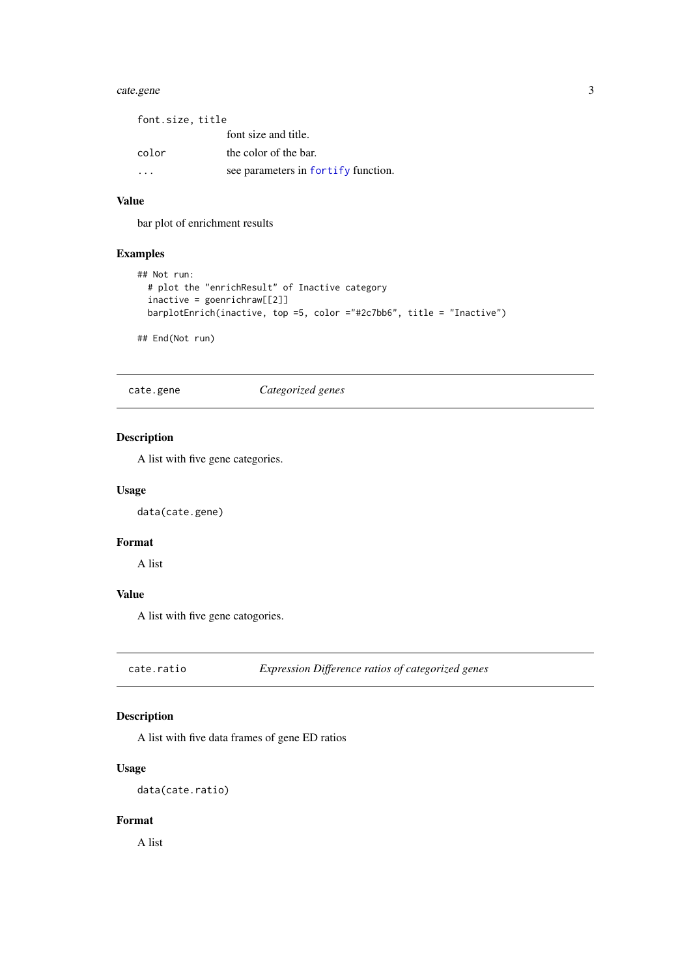#### <span id="page-2-0"></span>cate.gene 3

| font.size, title |                                     |
|------------------|-------------------------------------|
|                  | font size and title.                |
| color            | the color of the bar.               |
|                  | see parameters in fortify function. |

## Value

bar plot of enrichment results

## Examples

```
## Not run:
  # plot the "enrichResult" of Inactive category
  inactive = goenrichraw[[2]]
  barplotEnrich(inactive, top =5, color ="#2c7bb6", title = "Inactive")
```
## End(Not run)

cate.gene *Categorized genes*

## Description

A list with five gene categories.

#### Usage

data(cate.gene)

## Format

A list

## Value

A list with five gene catogories.

cate.ratio *Expression Difference ratios of categorized genes*

## Description

A list with five data frames of gene ED ratios

### Usage

data(cate.ratio)

## Format

A list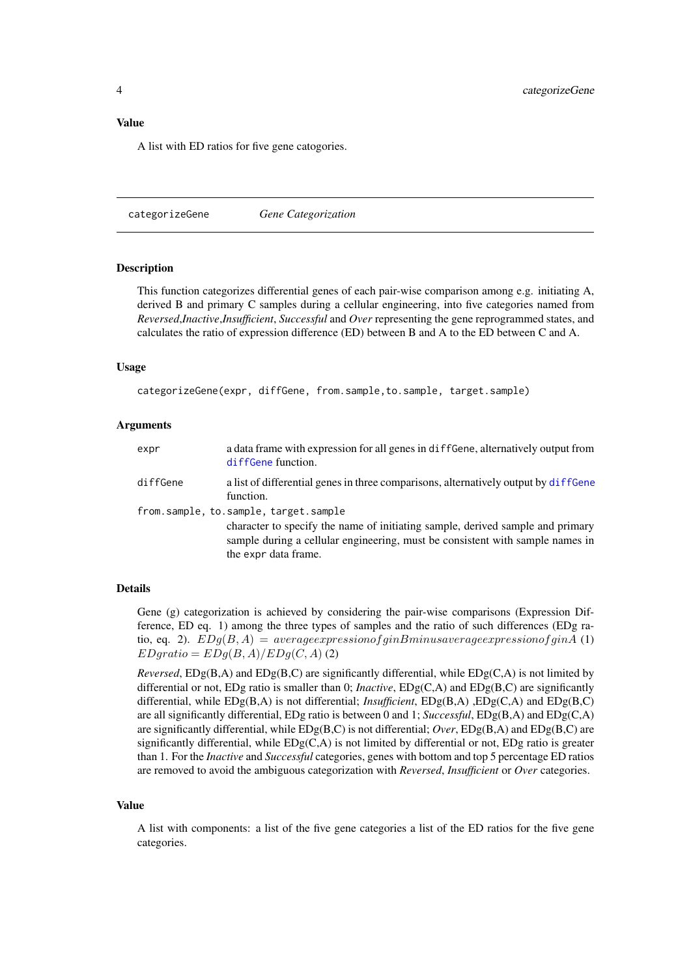#### <span id="page-3-0"></span>Value

A list with ED ratios for five gene catogories.

<span id="page-3-1"></span>categorizeGene *Gene Categorization*

#### Description

This function categorizes differential genes of each pair-wise comparison among e.g. initiating A, derived B and primary C samples during a cellular engineering, into five categories named from *Reversed*,*Inactive*,*Insufficient*, *Successful* and *Over* representing the gene reprogrammed states, and calculates the ratio of expression difference (ED) between B and A to the ED between C and A.

#### Usage

categorizeGene(expr, diffGene, from.sample,to.sample, target.sample)

#### Arguments

| expr     | a data frame with expression for all genes in diffGene, alternatively output from<br>diffGene function.                                                                                                                          |
|----------|----------------------------------------------------------------------------------------------------------------------------------------------------------------------------------------------------------------------------------|
| diffGene | a list of differential genes in three comparisons, alternatively output by diffeene<br>function.                                                                                                                                 |
|          | from.sample, to.sample, target.sample<br>character to specify the name of initiating sample, derived sample and primary<br>sample during a cellular engineering, must be consistent with sample names in<br>the expr data frame. |

#### Details

Gene (g) categorization is achieved by considering the pair-wise comparisons (Expression Difference, ED eq. 1) among the three types of samples and the ratio of such differences (EDg ratio, eq. 2).  $EDg(B, A) = average expression of ginBminus average expression of ginA (1)$  $EDgratio = EDg(B, A)/EDg(C, A)$  (2)

*Reversed*,  $EDg(B, A)$  and  $EDg(B, C)$  are significantly differential, while  $EDg(C, A)$  is not limited by differential or not, EDg ratio is smaller than 0; *Inactive*, EDg(C,A) and EDg(B,C) are significantly differential, while EDg(B,A) is not differential; *Insufficient*, EDg(B,A) ,EDg(C,A) and EDg(B,C) are all significantly differential, EDg ratio is between 0 and 1; *Successful*, EDg(B,A) and EDg(C,A) are significantly differential, while EDg(B,C) is not differential; *Over*, EDg(B,A) and EDg(B,C) are significantly differential, while  $EDg(C, A)$  is not limited by differential or not,  $EDg$  ratio is greater than 1. For the *Inactive* and *Successful* categories, genes with bottom and top 5 percentage ED ratios are removed to avoid the ambiguous categorization with *Reversed*, *Insufficient* or *Over* categories.

#### Value

A list with components: a list of the five gene categories a list of the ED ratios for the five gene categories.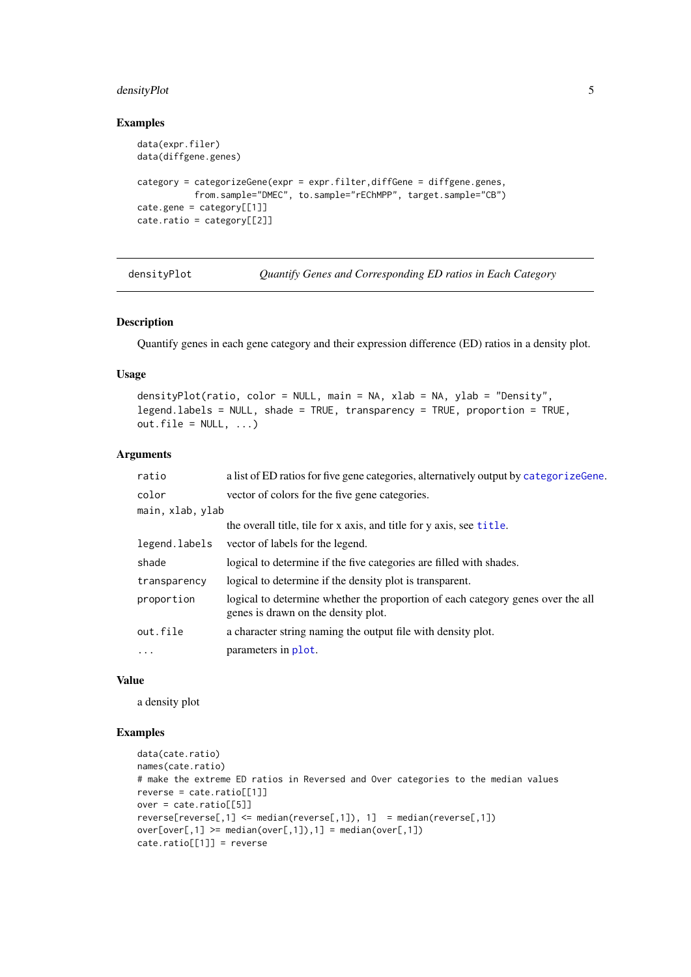#### <span id="page-4-0"></span>densityPlot 5

## Examples

```
data(expr.filer)
data(diffgene.genes)
category = categorizeGene(expr = expr.filter,diffGene = diffgene.genes,
           from.sample="DMEC", to.sample="rEChMPP", target.sample="CB")
cate.gene = category[[1]]
cate.ratio = category[[2]]
```
densityPlot *Quantify Genes and Corresponding ED ratios in Each Category*

#### Description

Quantify genes in each gene category and their expression difference (ED) ratios in a density plot.

## Usage

```
densityPlot(ratio, color = NULL, main = NA, xlab = NA, ylab = "Density",
legend.labels = NULL, shade = TRUE, transparency = TRUE, proportion = TRUE,
out.file = NULL, ...)
```
#### Arguments

| a list of ED ratios for five gene categories, alternatively output by categorize Gene.                                 |
|------------------------------------------------------------------------------------------------------------------------|
| vector of colors for the five gene categories.                                                                         |
| main, xlab, ylab                                                                                                       |
| the overall title, tile for x axis, and title for y axis, see title.                                                   |
| vector of labels for the legend.                                                                                       |
| logical to determine if the five categories are filled with shades.                                                    |
| logical to determine if the density plot is transparent.                                                               |
| logical to determine whether the proportion of each category genes over the all<br>genes is drawn on the density plot. |
| a character string naming the output file with density plot.                                                           |
| parameters in plot.                                                                                                    |
|                                                                                                                        |

### Value

a density plot

## Examples

```
data(cate.ratio)
names(cate.ratio)
# make the extreme ED ratios in Reversed and Over categories to the median values
reverse = cate.ratio[[1]]
over = cate.ratio[[5]]
reverse[reverse[,1] \leq median(reverse[,1]), 1] = median(reverse[,1])over[over[,1] >= median(over[,1]),1] = median(over[,1])
cate.ratio[[1]] = reverse
```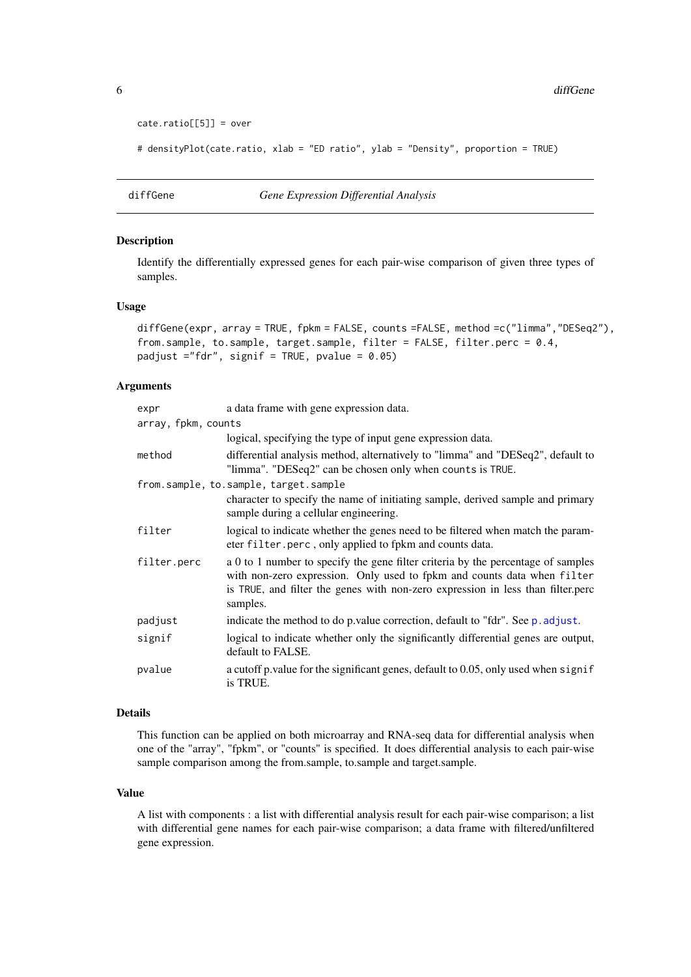```
\text{cate.ratio}[5]] = over
```
# densityPlot(cate.ratio, xlab = "ED ratio", ylab = "Density", proportion = TRUE)

<span id="page-5-1"></span>diffGene *Gene Expression Differential Analysis*

#### Description

Identify the differentially expressed genes for each pair-wise comparison of given three types of samples.

#### Usage

```
diffGene(expr, array = TRUE, fpkm = FALSE, counts =FALSE, method =c("limma","DESeq2"),
from.sample, to.sample, target.sample, filter = FALSE, filter.perc = 0.4,
padjust ="fdr", signif = TRUE, pvalue = 0.05)
```
## Arguments

| expr                | a data frame with gene expression data.                                                                                                                                                                                                                    |
|---------------------|------------------------------------------------------------------------------------------------------------------------------------------------------------------------------------------------------------------------------------------------------------|
| array, fpkm, counts |                                                                                                                                                                                                                                                            |
|                     | logical, specifying the type of input gene expression data.                                                                                                                                                                                                |
| method              | differential analysis method, alternatively to "limma" and "DESeq2", default to<br>"limma". "DESeq2" can be chosen only when counts is TRUE.                                                                                                               |
|                     | from.sample, to.sample, target.sample                                                                                                                                                                                                                      |
|                     | character to specify the name of initiating sample, derived sample and primary<br>sample during a cellular engineering.                                                                                                                                    |
| filter              | logical to indicate whether the genes need to be filtered when match the param-<br>eter filter.perc, only applied to fpkm and counts data.                                                                                                                 |
| filter.perc         | a 0 to 1 number to specify the gene filter criteria by the percentage of samples<br>with non-zero expression. Only used to fpkm and counts data when filter<br>is TRUE, and filter the genes with non-zero expression in less than filter.perc<br>samples. |
| padjust             | indicate the method to do p.value correction, default to "fdr". See p. adjust.                                                                                                                                                                             |
| signif              | logical to indicate whether only the significantly differential genes are output,<br>default to FALSE.                                                                                                                                                     |
| pvalue              | a cutoff p. value for the significant genes, default to 0.05, only used when signif<br>is TRUE.                                                                                                                                                            |

#### Details

This function can be applied on both microarray and RNA-seq data for differential analysis when one of the "array", "fpkm", or "counts" is specified. It does differential analysis to each pair-wise sample comparison among the from.sample, to.sample and target.sample.

### Value

A list with components : a list with differential analysis result for each pair-wise comparison; a list with differential gene names for each pair-wise comparison; a data frame with filtered/unfiltered gene expression.

<span id="page-5-0"></span>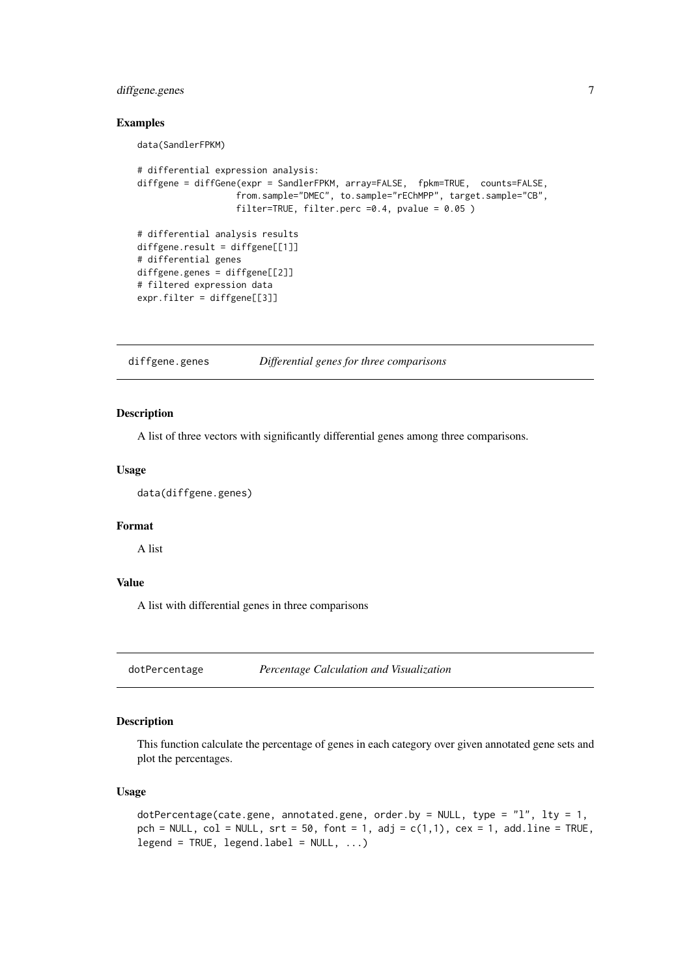## <span id="page-6-0"></span>diffgene.genes 7

#### Examples

data(SandlerFPKM)

```
# differential expression analysis:
diffgene = diffGene(expr = SandlerFPKM, array=FALSE, fpkm=TRUE, counts=FALSE,
                   from.sample="DMEC", to.sample="rEChMPP", target.sample="CB",
                   filter=TRUE, filter.perc =0.4, pvalue = 0.05 )
# differential analysis results
diffgene.result = diffgene[[1]]
# differential genes
diffgene.genes = diffgene[[2]]
# filtered expression data
expr.filter = diffgene[[3]]
```
diffgene.genes *Differential genes for three comparisons*

#### Description

A list of three vectors with significantly differential genes among three comparisons.

#### Usage

```
data(diffgene.genes)
```
## Format

A list

## Value

A list with differential genes in three comparisons

dotPercentage *Percentage Calculation and Visualization*

#### Description

This function calculate the percentage of genes in each category over given annotated gene sets and plot the percentages.

## Usage

```
dotPercentage(cate.gene, annotated.gene, order.by = NULL, type = "l", lty = 1,
pch = NULL, col = NULL, srt = 50, font = 1, adj = c(1,1), cex = 1, add.line = TRUE,
legend = TRUE, legend.label = NULL, ...)
```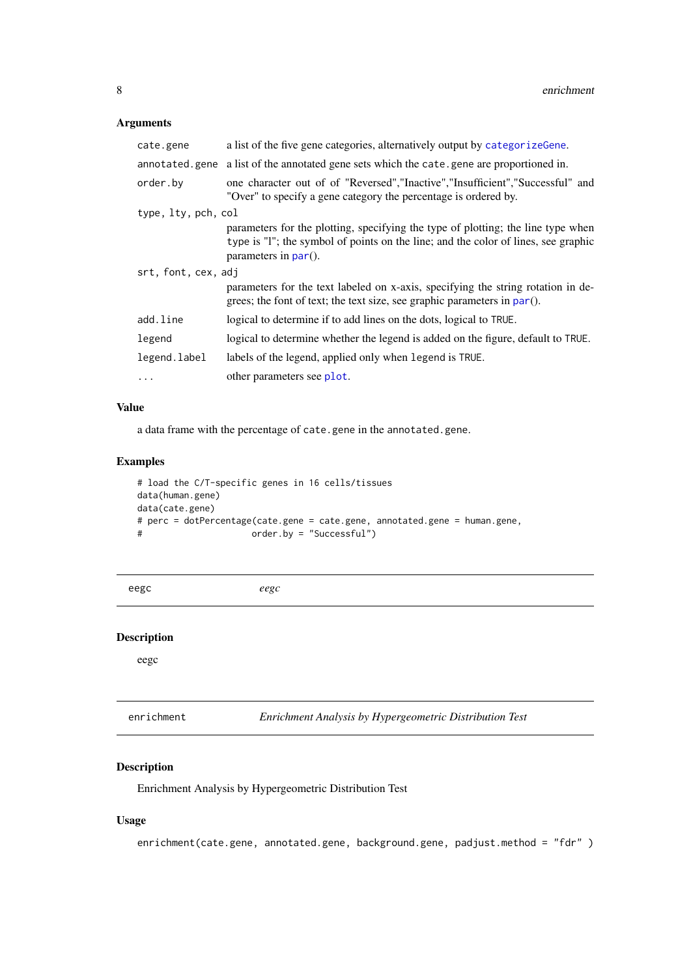## <span id="page-7-0"></span>Arguments

| a list of the five gene categories, alternatively output by categorize Gene.                                                                                                                      |
|---------------------------------------------------------------------------------------------------------------------------------------------------------------------------------------------------|
| annotated gene a list of the annotated gene sets which the cate gene are proportioned in.                                                                                                         |
| one character out of of "Reversed", "Inactive", "Insufficient", "Successful" and<br>"Over" to specify a gene category the percentage is ordered by.                                               |
| type, lty, pch, col                                                                                                                                                                               |
| parameters for the plotting, specifying the type of plotting; the line type when<br>type is "I"; the symbol of points on the line; and the color of lines, see graphic<br>parameters in $par()$ . |
| srt, font, cex, adj                                                                                                                                                                               |
| parameters for the text labeled on x-axis, specifying the string rotation in de-<br>grees; the font of text; the text size, see graphic parameters in $par()$ .                                   |
| logical to determine if to add lines on the dots, logical to TRUE.                                                                                                                                |
| logical to determine whether the legend is added on the figure, default to TRUE.                                                                                                                  |
| labels of the legend, applied only when legend is TRUE.                                                                                                                                           |
| other parameters see plot.                                                                                                                                                                        |
|                                                                                                                                                                                                   |

## Value

a data frame with the percentage of cate.gene in the annotated.gene.

## Examples

```
# load the C/T-specific genes in 16 cells/tissues
data(human.gene)
data(cate.gene)
# perc = dotPercentage(cate.gene = cate.gene, annotated.gene = human.gene,
# order.by = "Successful")
```

```
eegc eegc
```
## Description

eegc

<span id="page-7-1"></span>

| enrichment |  |  | Enrichment Analysis by Hypergeometric Distribution Test |  |  |
|------------|--|--|---------------------------------------------------------|--|--|
|------------|--|--|---------------------------------------------------------|--|--|

## Description

Enrichment Analysis by Hypergeometric Distribution Test

## Usage

enrichment(cate.gene, annotated.gene, background.gene, padjust.method = "fdr" )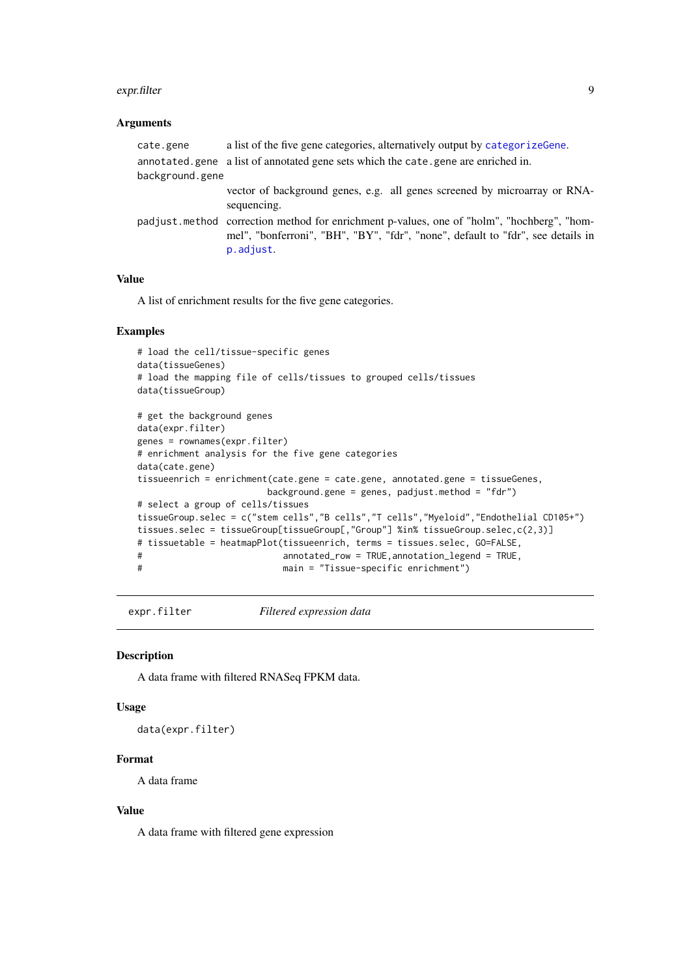#### <span id="page-8-0"></span>expr.filter 9

#### Arguments

```
cate.gene a list of the five gene categories, alternatively output by categorizeGene.
annotated.gene a list of annotated gene sets which the cate.gene are enriched in.
background.gene
                  vector of background genes, e.g. all genes screened by microarray or RNA-
                  sequencing.
padjust.method correction method for enrichment p-values, one of "holm", "hochberg", "hom-
                  mel", "bonferroni", "BH", "BY", "fdr", "none", default to "fdr", see details in
                  p.adjust.
```
#### Value

A list of enrichment results for the five gene categories.

#### Examples

```
# load the cell/tissue-specific genes
data(tissueGenes)
# load the mapping file of cells/tissues to grouped cells/tissues
data(tissueGroup)
# get the background genes
data(expr.filter)
genes = rownames(expr.filter)
# enrichment analysis for the five gene categories
data(cate.gene)
tissueenrich = enrichment(cate.gene = cate.gene, annotated.gene = tissueGenes,
                       background.gene = genes, padjust.method = "fdr")
# select a group of cells/tissues
tissueGroup.selec = c("stem cells","B cells","T cells","Myeloid","Endothelial CD105+")
tissues.selec = tissueGroup[tissueGroup[,"Group"] %in% tissueGroup.selec,c(2,3)]
# tissuetable = heatmapPlot(tissueenrich, terms = tissues.selec, GO=FALSE,
# annotated_row = TRUE,annotation_legend = TRUE,
# main = "Tissue-specific enrichment")
```
expr.filter *Filtered expression data*

### Description

A data frame with filtered RNASeq FPKM data.

## Usage

data(expr.filter)

### Format

A data frame

#### Value

A data frame with filtered gene expression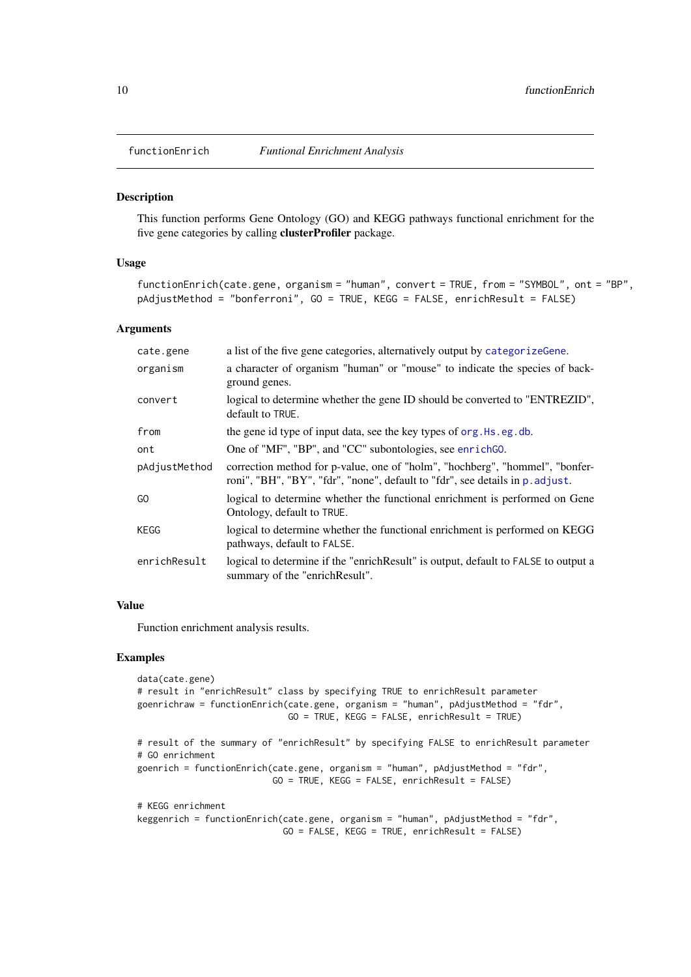<span id="page-9-1"></span><span id="page-9-0"></span>

This function performs Gene Ontology (GO) and KEGG pathways functional enrichment for the five gene categories by calling clusterProfiler package.

#### Usage

```
functionEnrich(cate.gene, organism = "human", convert = TRUE, from = "SYMBOL", ont = "BP",
pAdjustMethod = "bonferroni", GO = TRUE, KEGG = FALSE, enrichResult = FALSE)
```
### Arguments

| cate.gene     | a list of the five gene categories, alternatively output by categorize Gene.                                                                                  |
|---------------|---------------------------------------------------------------------------------------------------------------------------------------------------------------|
| organism      | a character of organism "human" or "mouse" to indicate the species of back-<br>ground genes.                                                                  |
| convert       | logical to determine whether the gene ID should be converted to "ENTREZID",<br>default to TRUE.                                                               |
| from          | the gene id type of input data, see the key types of org. Hs. eg. db.                                                                                         |
| ont           | One of "MF", "BP", and "CC" subontologies, see enrichGO.                                                                                                      |
| pAdjustMethod | correction method for p-value, one of "holm", "hochberg", "hommel", "bonfer-<br>roni", "BH", "BY", "fdr", "none", default to "fdr", see details in p. adjust. |
| GO.           | logical to determine whether the functional enrichment is performed on Gene<br>Ontology, default to TRUE.                                                     |
| KEGG          | logical to determine whether the functional enrichment is performed on KEGG<br>pathways, default to FALSE.                                                    |
| enrichResult  | logical to determine if the "enrichResult" is output, default to FALSE to output a<br>summary of the "enrichResult".                                          |

#### Value

Function enrichment analysis results.

## Examples

```
data(cate.gene)
# result in "enrichResult" class by specifying TRUE to enrichResult parameter
goenrichraw = functionEnrich(cate.gene, organism = "human", pAdjustMethod = "fdr",
                            GO = TRUE, KEGG = FALSE, enrichResult = TRUE)# result of the summary of "enrichResult" by specifying FALSE to enrichResult parameter
# GO enrichment
goenrich = functionEnrich(cate.gene, organism = "human", pAdjustMethod = "fdr",
                          GO = TRUE, KEGG = FALSE, enrichResult = FALSE)
# KEGG enrichment
keggenrich = functionEnrich(cate.gene, organism = "human", pAdjustMethod = "fdr",
                            GO = FALSE, KEGG = TRUE, enrichResult = FALSE)
```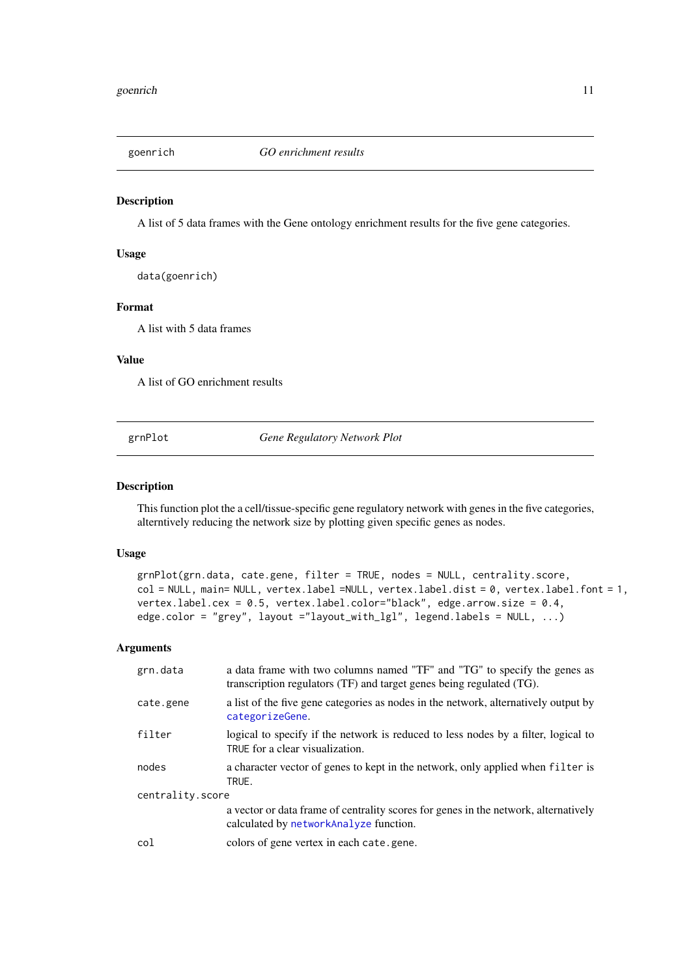<span id="page-10-0"></span>

A list of 5 data frames with the Gene ontology enrichment results for the five gene categories.

#### Usage

data(goenrich)

#### Format

A list with 5 data frames

### Value

A list of GO enrichment results

grnPlot *Gene Regulatory Network Plot*

#### Description

This function plot the a cell/tissue-specific gene regulatory network with genes in the five categories, alterntively reducing the network size by plotting given specific genes as nodes.

## Usage

```
grnPlot(grn.data, cate.gene, filter = TRUE, nodes = NULL, centrality.score,
col = NULL, main= NULL, vertex.label =NULL, vertex.label.dist = 0, vertex.label.font = 1,
vertex.label.cex = 0.5, vertex.label.color="black", edge.arrow.size = 0.4,
edge.color = "grey", layout ="layout_with_lgl", legend.labels = NULL, ...)
```

| grn.data         | a data frame with two columns named "TF" and "TG" to specify the genes as<br>transcription regulators (TF) and target genes being regulated (TG). |  |
|------------------|---------------------------------------------------------------------------------------------------------------------------------------------------|--|
| cate.gene        | a list of the five gene categories as nodes in the network, alternatively output by<br>categorizeGene.                                            |  |
| filter           | logical to specify if the network is reduced to less nodes by a filter, logical to<br>TRUE for a clear visualization.                             |  |
| nodes            | a character vector of genes to kept in the network, only applied when filter is<br>TRUE.                                                          |  |
| centrality.score |                                                                                                                                                   |  |
|                  | a vector or data frame of centrality scores for genes in the network, alternatively<br>calculated by networkAnalyze function.                     |  |
| col              | colors of gene vertex in each cate.gene.                                                                                                          |  |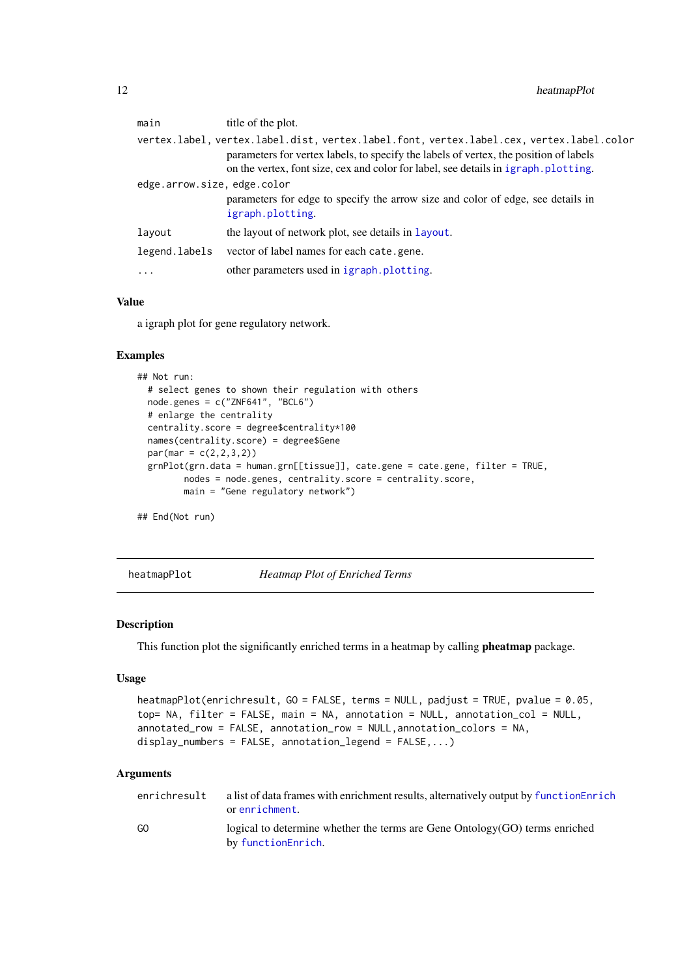<span id="page-11-0"></span>

|                            | main          | title of the plot.                                                                                                                                                                                                                                                      |
|----------------------------|---------------|-------------------------------------------------------------------------------------------------------------------------------------------------------------------------------------------------------------------------------------------------------------------------|
|                            |               | vertex.label, vertex.label.dist, vertex.label.font, vertex.label.cex, vertex.label.color<br>parameters for vertex labels, to specify the labels of vertex, the position of labels<br>on the vertex, font size, cex and color for label, see details in igraph.plotting. |
| edge.arrow.size.edge.color |               |                                                                                                                                                                                                                                                                         |
|                            |               | parameters for edge to specify the arrow size and color of edge, see details in<br>igraph.plotting.                                                                                                                                                                     |
|                            | layout        | the layout of network plot, see details in layout.                                                                                                                                                                                                                      |
|                            | legend.labels | vector of label names for each cate.gene.                                                                                                                                                                                                                               |
|                            | $\cdots$      | other parameters used in igraph.plotting.                                                                                                                                                                                                                               |
|                            |               |                                                                                                                                                                                                                                                                         |

## Value

a igraph plot for gene regulatory network.

## Examples

```
## Not run:
  # select genes to shown their regulation with others
  node.genes = c("ZNF641", "BCL6")
  # enlarge the centrality
 centrality.score = degree$centrality*100
 names(centrality.score) = degree$Gene
  par(max = c(2, 2, 3, 2))grnPlot(grn.data = human.grn[[tissue]], cate.gene = cate.gene, filter = TRUE,
         nodes = node.genes, centrality.score = centrality.score,
         main = "Gene regulatory network")
```
## End(Not run)

heatmapPlot *Heatmap Plot of Enriched Terms*

#### Description

This function plot the significantly enriched terms in a heatmap by calling **pheatmap** package.

## Usage

```
heatmapPlot(enrichresult, GO = FALSE, terms = NULL, padjust = TRUE, pvalue = 0.05,
top= NA, filter = FALSE, main = NA, annotation = NULL, annotation_col = NULL,
annotated_row = FALSE, annotation_row = NULL,annotation_colors = NA,
display_numbers = FALSE, annotation_legend = FALSE,...)
```

| enrichresult | a list of data frames with enrichment results, alternatively output by function Enrich<br>or enrichment. |
|--------------|----------------------------------------------------------------------------------------------------------|
| GO           | logical to determine whether the terms are Gene Ontology (GO) terms enriched<br>by functionEnrich.       |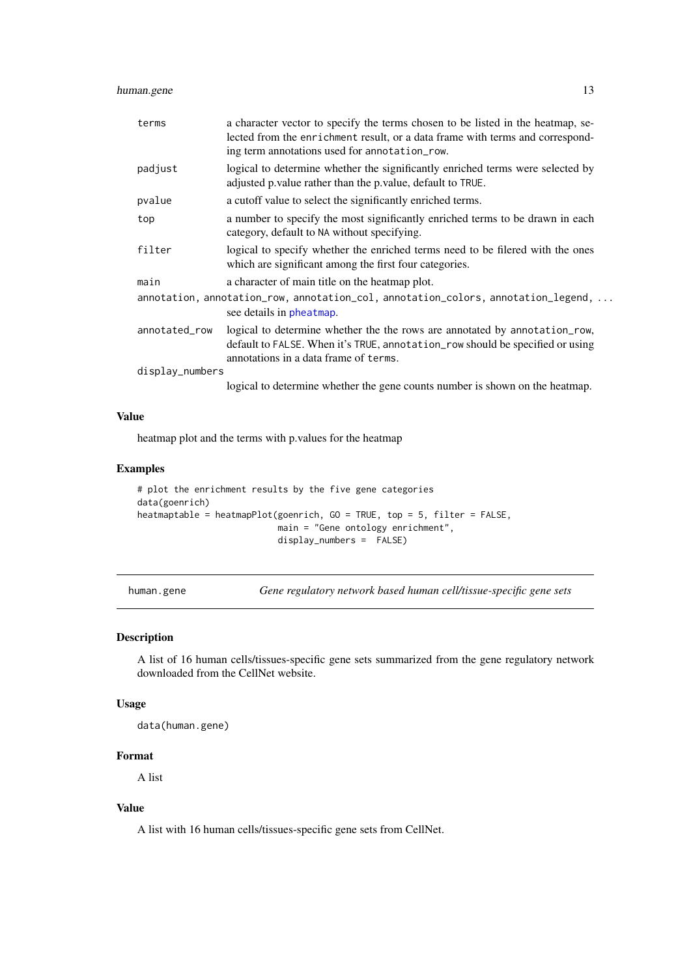#### <span id="page-12-0"></span>human.gene 13

| terms                                                                                                         | a character vector to specify the terms chosen to be listed in the heatmap, se-<br>lected from the enrichment result, or a data frame with terms and correspond-<br>ing term annotations used for annotation_row. |  |
|---------------------------------------------------------------------------------------------------------------|-------------------------------------------------------------------------------------------------------------------------------------------------------------------------------------------------------------------|--|
| padjust                                                                                                       | logical to determine whether the significantly enriched terms were selected by<br>adjusted p. value rather than the p. value, default to TRUE.                                                                    |  |
| pvalue                                                                                                        | a cutoff value to select the significantly enriched terms.                                                                                                                                                        |  |
| top                                                                                                           | a number to specify the most significantly enriched terms to be drawn in each<br>category, default to NA without specifying.                                                                                      |  |
| filter                                                                                                        | logical to specify whether the enriched terms need to be filered with the ones<br>which are significant among the first four categories.                                                                          |  |
| main                                                                                                          | a character of main title on the heatmap plot.                                                                                                                                                                    |  |
| annotation, annotation_row, annotation_col, annotation_colors, annotation_legend,<br>see details in pheatmap. |                                                                                                                                                                                                                   |  |
| annotated_row                                                                                                 | logical to determine whether the the rows are annotated by annotation_row,<br>default to FALSE. When it's TRUE, annotation_row should be specified or using<br>annotations in a data frame of terms.              |  |
| display_numbers                                                                                               |                                                                                                                                                                                                                   |  |
|                                                                                                               | logical to determine whether the gene counts number is shown on the heatmap.                                                                                                                                      |  |

### Value

heatmap plot and the terms with p.values for the heatmap

## Examples

```
# plot the enrichment results by the five gene categories
data(goenrich)
heatmaptable = heatmapPlot(goenrich, GO = TRUE, top = 5, filter = FALSE,
                           main = "Gene ontology enrichment",
                           display_numbers = FALSE)
```
human.gene *Gene regulatory network based human cell/tissue-specific gene sets*

## Description

A list of 16 human cells/tissues-specific gene sets summarized from the gene regulatory network downloaded from the CellNet website.

## Usage

data(human.gene)

## Format

A list

## Value

A list with 16 human cells/tissues-specific gene sets from CellNet.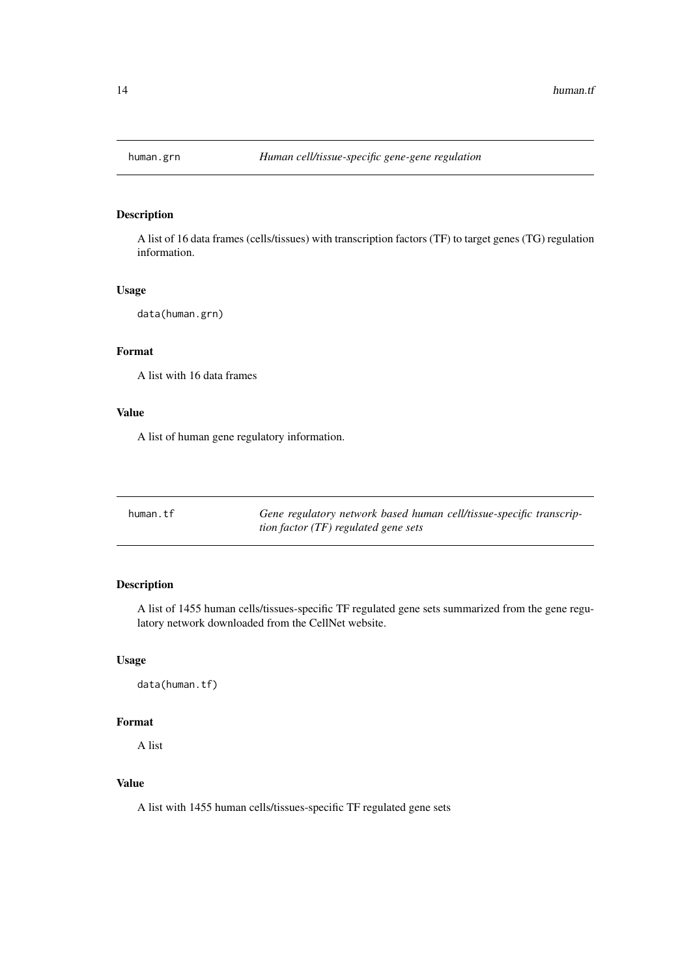<span id="page-13-0"></span>

A list of 16 data frames (cells/tissues) with transcription factors (TF) to target genes (TG) regulation information.

## Usage

data(human.grn)

## Format

A list with 16 data frames

## Value

A list of human gene regulatory information.

| human.tf | Gene regulatory network based human cell/tissue-specific transcrip- |
|----------|---------------------------------------------------------------------|
|          | tion factor $(TF)$ regulated gene sets                              |

## Description

A list of 1455 human cells/tissues-specific TF regulated gene sets summarized from the gene regulatory network downloaded from the CellNet website.

## Usage

data(human.tf)

## Format

A list

## Value

A list with 1455 human cells/tissues-specific TF regulated gene sets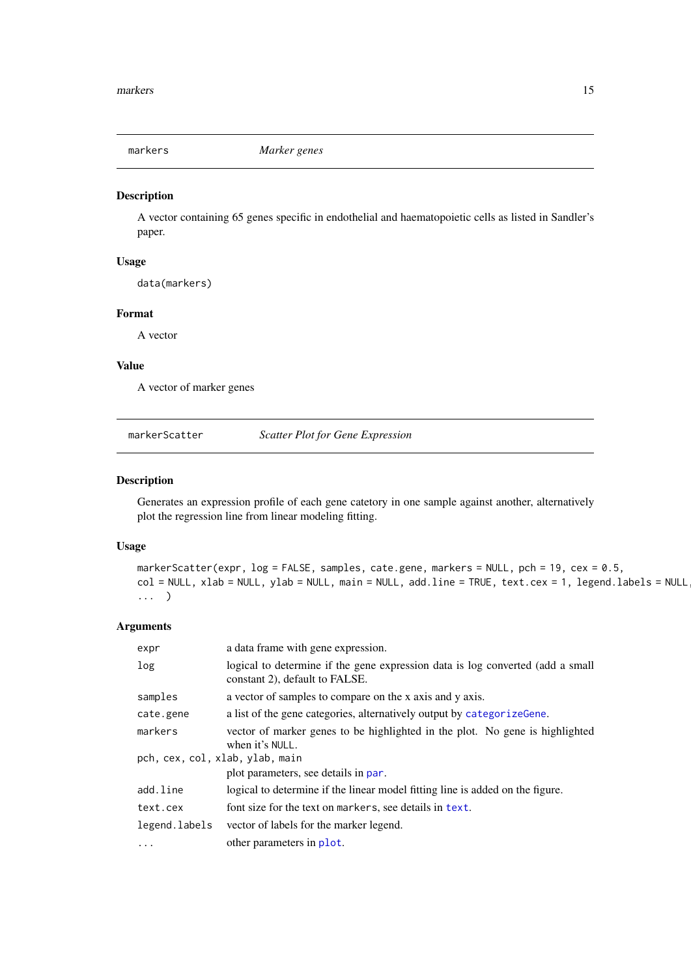<span id="page-14-0"></span>markers *Marker genes*

## Description

A vector containing 65 genes specific in endothelial and haematopoietic cells as listed in Sandler's paper.

## Usage

data(markers)

## Format

A vector

## Value

A vector of marker genes

markerScatter *Scatter Plot for Gene Expression*

### Description

Generates an expression profile of each gene catetory in one sample against another, alternatively plot the regression line from linear modeling fitting.

#### Usage

```
markerScatter(expr, log = FALSE, samples, cate.gene, markers = NULL, pch = 19, cex = 0.5,
col = NULL, xlab = NULL, ylab = NULL, main = NULL, add.line = TRUE, text.cex = 1, legend.labels = NULL,
... )
```

| expr                                                                                                                                          | a data frame with gene expression.                                                                               |
|-----------------------------------------------------------------------------------------------------------------------------------------------|------------------------------------------------------------------------------------------------------------------|
| log                                                                                                                                           | logical to determine if the gene expression data is log converted (add a small<br>constant 2), default to FALSE. |
| samples                                                                                                                                       | a vector of samples to compare on the x axis and y axis.                                                         |
| cate.gene                                                                                                                                     | a list of the gene categories, alternatively output by categorize Gene.                                          |
| vector of marker genes to be highlighted in the plot. No gene is highlighted<br>markers<br>when it's NULL.<br>pch, cex, col, xlab, ylab, main |                                                                                                                  |
|                                                                                                                                               | plot parameters, see details in par.                                                                             |
| add.line                                                                                                                                      | logical to determine if the linear model fitting line is added on the figure.                                    |
| text.cex                                                                                                                                      | font size for the text on markers, see details in text.                                                          |
| legend.labels                                                                                                                                 | vector of labels for the marker legend.                                                                          |
| $\ddots$                                                                                                                                      | other parameters in plot.                                                                                        |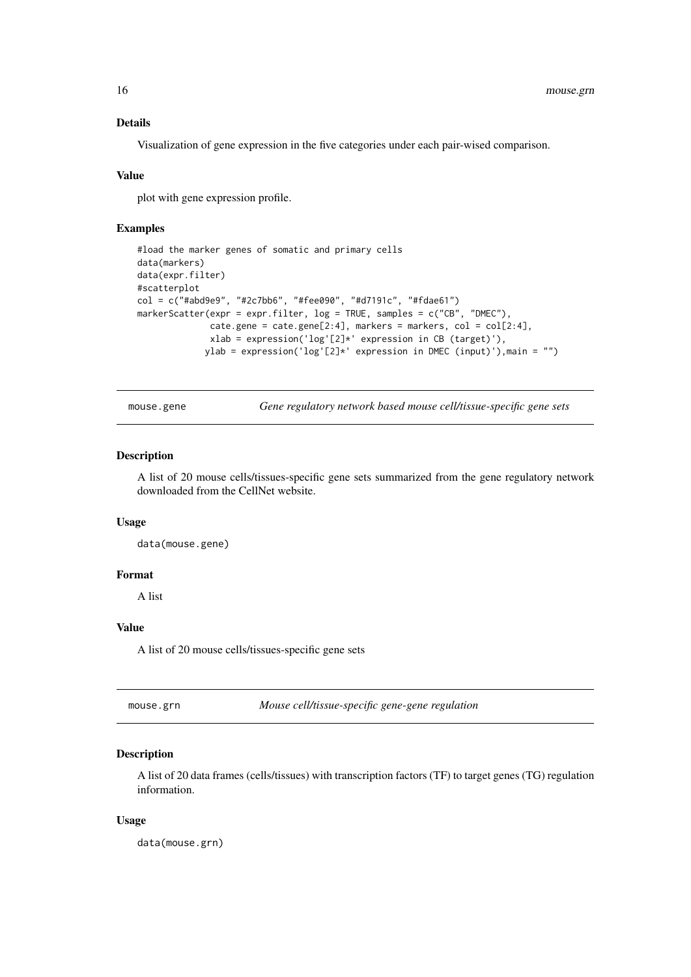## Details

Visualization of gene expression in the five categories under each pair-wised comparison.

#### Value

plot with gene expression profile.

## Examples

```
#load the marker genes of somatic and primary cells
data(markers)
data(expr.filter)
#scatterplot
col = c("#abd9e9", "#2c7bb6", "#fee090", "#d7191c", "#fdae61")
markerScatter(expr = expr.filter, log = TRUE, samples = c("CB", "DMEC"),
               \text{cate.gene} = \text{cate.gene}[2:4], \text{ markers} = \text{markers}, \text{col} = \text{col}[2:4],xlab = expression('log'[2]*' expression in CB (target)'),
              ylab = expression('log'[2]*' expression in DMEC (input)'),main = "")
```
mouse.gene *Gene regulatory network based mouse cell/tissue-specific gene sets*

#### Description

A list of 20 mouse cells/tissues-specific gene sets summarized from the gene regulatory network downloaded from the CellNet website.

#### Usage

data(mouse.gene)

## Format

A list

## Value

A list of 20 mouse cells/tissues-specific gene sets

| mouse.grn | Mouse cell/tissue-specific gene-gene regulation |
|-----------|-------------------------------------------------|
|-----------|-------------------------------------------------|

## Description

A list of 20 data frames (cells/tissues) with transcription factors (TF) to target genes (TG) regulation information.

## Usage

data(mouse.grn)

<span id="page-15-0"></span>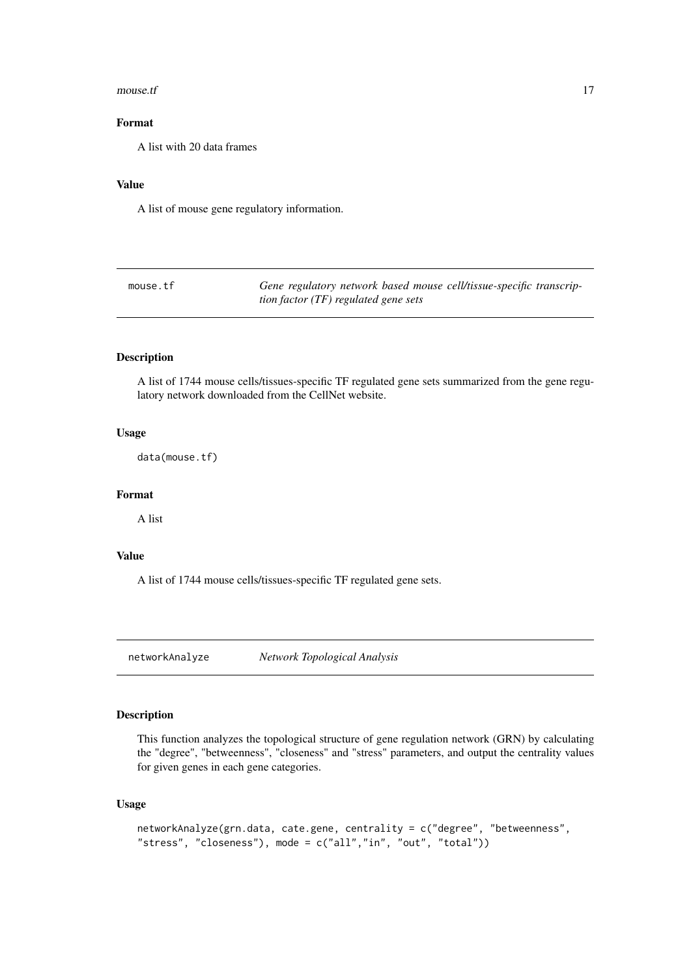#### <span id="page-16-0"></span> $mouse.$   $17$

## Format

A list with 20 data frames

## Value

A list of mouse gene regulatory information.

| mouse.tf | Gene regulatory network based mouse cell/tissue-specific transcrip- |  |
|----------|---------------------------------------------------------------------|--|
|          | tion factor $(TF)$ regulated gene sets                              |  |

## Description

A list of 1744 mouse cells/tissues-specific TF regulated gene sets summarized from the gene regulatory network downloaded from the CellNet website.

#### Usage

data(mouse.tf)

## Format

A list

## Value

A list of 1744 mouse cells/tissues-specific TF regulated gene sets.

<span id="page-16-1"></span>networkAnalyze *Network Topological Analysis*

## Description

This function analyzes the topological structure of gene regulation network (GRN) by calculating the "degree", "betweenness", "closeness" and "stress" parameters, and output the centrality values for given genes in each gene categories.

## Usage

```
networkAnalyze(grn.data, cate.gene, centrality = c("degree", "betweenness",
"stress", "closeness"), mode = c("all","in", "out", "total"))
```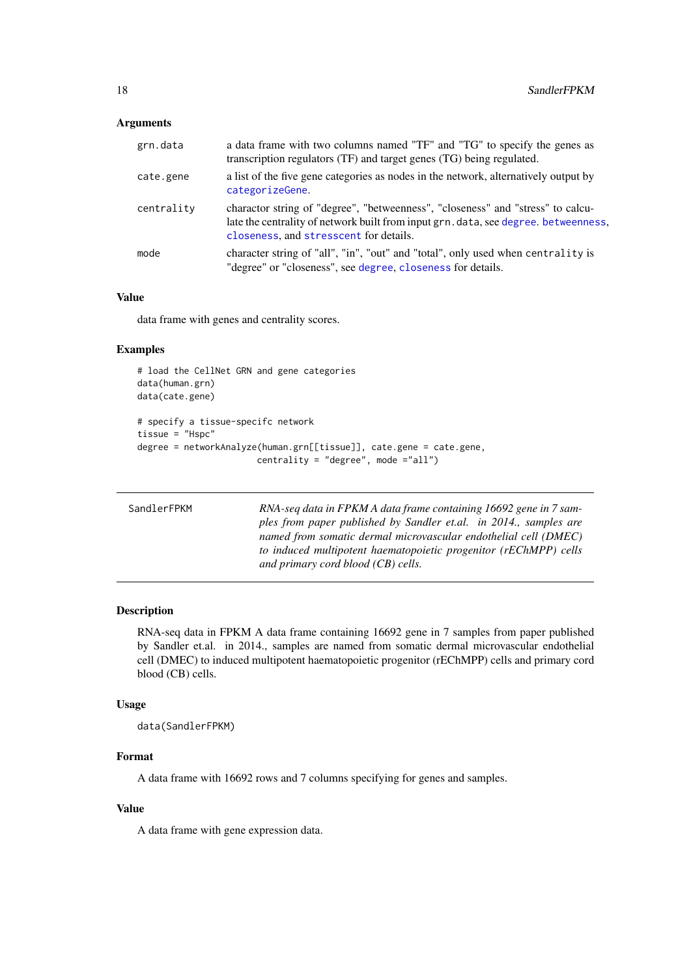## <span id="page-17-0"></span>Arguments

| grn.data   | a data frame with two columns named "TF" and "TG" to specify the genes as<br>transcription regulators (TF) and target genes (TG) being regulated.                                                                |
|------------|------------------------------------------------------------------------------------------------------------------------------------------------------------------------------------------------------------------|
| cate.gene  | a list of the five gene categories as nodes in the network, alternatively output by<br>categorizeGene.                                                                                                           |
| centrality | charactor string of "degree", "betweenness", "closeness" and "stress" to calcu-<br>late the centrality of network built from input grn. data, see degree. betweenness,<br>closeness, and stresscent for details. |
| mode       | character string of "all", "in", "out" and "total", only used when centrality is<br>"degree" or "closeness", see degree, closeness for details.                                                                  |

## Value

data frame with genes and centrality scores.

## Examples

```
# load the CellNet GRN and gene categories
data(human.grn)
data(cate.gene)
# specify a tissue-specifc network
tissue = "Hspc"
degree = networkAnalyze(human.grn[[tissue]], cate.gene = cate.gene,
                       centrality = "degree", mode ="all")
```

| SandlerFPKM | RNA-seq data in FPKM A data frame containing 16692 gene in 7 sam-<br>ples from paper published by Sandler et.al. in 2014., samples are<br>named from somatic dermal microvascular endothelial cell (DMEC)<br>to induced multipotent haematopoietic progenitor (rEChMPP) cells<br>and primary cord blood (CB) cells. |
|-------------|---------------------------------------------------------------------------------------------------------------------------------------------------------------------------------------------------------------------------------------------------------------------------------------------------------------------|
|             |                                                                                                                                                                                                                                                                                                                     |

## Description

RNA-seq data in FPKM A data frame containing 16692 gene in 7 samples from paper published by Sandler et.al. in 2014., samples are named from somatic dermal microvascular endothelial cell (DMEC) to induced multipotent haematopoietic progenitor (rEChMPP) cells and primary cord blood (CB) cells.

### Usage

data(SandlerFPKM)

## Format

A data frame with 16692 rows and 7 columns specifying for genes and samples.

## Value

A data frame with gene expression data.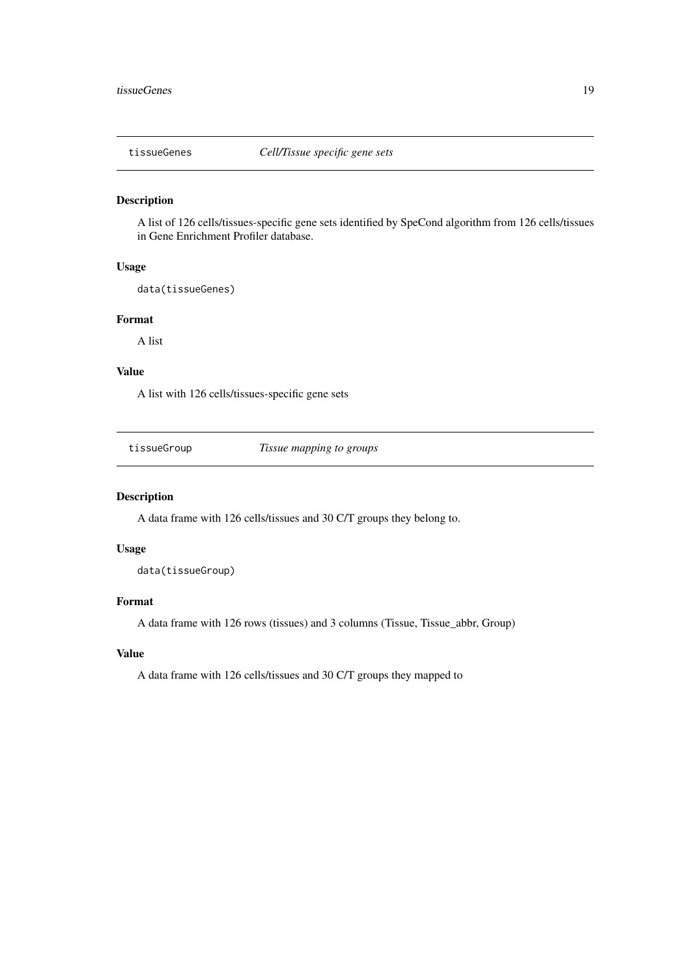<span id="page-18-0"></span>

A list of 126 cells/tissues-specific gene sets identified by SpeCond algorithm from 126 cells/tissues in Gene Enrichment Profiler database.

## Usage

data(tissueGenes)

## Format

A list

## Value

A list with 126 cells/tissues-specific gene sets

tissueGroup *Tissue mapping to groups*

## Description

A data frame with 126 cells/tissues and 30 C/T groups they belong to.

## Usage

data(tissueGroup)

## Format

A data frame with 126 rows (tissues) and 3 columns (Tissue, Tissue\_abbr, Group)

## Value

A data frame with 126 cells/tissues and 30 C/T groups they mapped to